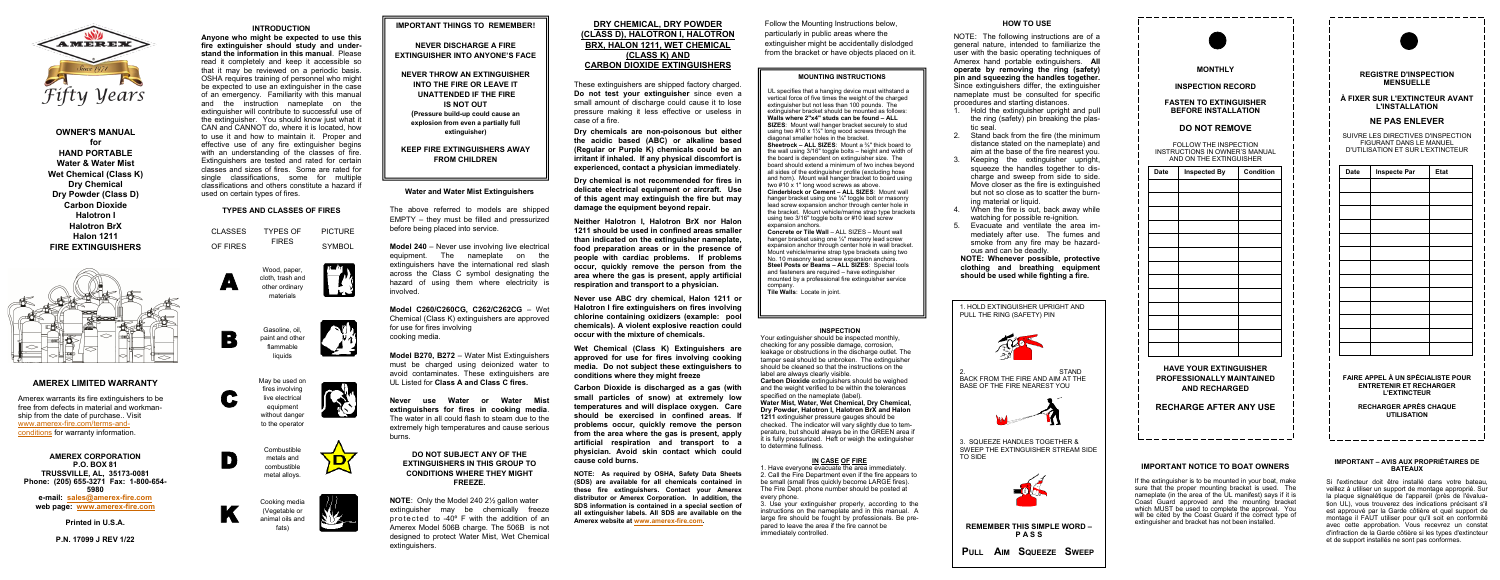# **AMEREX LIMITED WARRANTY**

Amerex warrants its fire extinguishers to be free from defects in material and workmanship from the date of purchase.. Visit www.amerex-[fire.com/terms](https://www.amerex-fire.com/terms-and-conditions)-and[conditions](https://www.amerex-fire.com/terms-and-conditions) for warranty information.

**AMEREX CORPORATION P.O. BOX 81 TRUSSVILLE, AL, 35173-0081 Phone: (205) 655-3271 Fax: 1-800-654- 5980 e-mail: [sales@amerex](mailto:sales@amerex-fire.com)-fire.com web page: [www.amerex](http://www.amerex-fire.com/)-fire.com**

**Printed in U.S.A.**

**P.N. 17099 J REV 1/22**

## **INTRODUCTION**

**Anyone who might be expected to use this fire extinguisher should study and understand the information in this manual**. Please read it completely and keep it accessible so that it may be reviewed on a periodic basis. OSHA requires training of personnel who might be expected to use an extinguisher in the case of an emergency. Familiarity with this manual and the instruction nameplate on the extinguisher will contribute to successful use of the extinguisher. You should know just what it CAN and CANNOT do, where it is located, how to use it and how to maintain it. Proper and effective use of any fire extinguisher begins with an understanding of the classes of fire. Extinguishers are tested and rated for certain classes and sizes of fires. Some are rated for single classifications, some for multiple classifications and others constitute a hazard if used on certain types of fires.

# **TYPES AND CLASSES OF FIRES**

# **IMPORTANT THINGS TO REMEMBER!**

**NEVER DISCHARGE A FIRE EXTINGUISHER INTO ANYONE'S FACE**

**NEVER THROW AN EXTINGUISHER INTO THE FIRE OR LEAVE IT UNATTENDED IF THE FIRE IS NOT OUT (Pressure build-up could cause an explosion from even a partially full extinguisher)**

**KEEP FIRE EXTINGUISHERS AWAY FROM CHILDREN**

## **Water and Water Mist Extinguishers**

The above referred to models are shipped EMPTY – they must be filled and pressurized before being placed into service.

**Model 240** – Never use involving live electrical equipment. The nameplate on the extinguishers have the international red slash across the Class C symbol designating the hazard of using them where electricity is involved.

**Model C260/C260CG, C262/C262CG** – Wet Chemical (Class K) extinguishers are approved for use for fires involving cooking media.

**Model B270, B272** – Water Mist Extinguishers must be charged using deionized water to avoid contaminates. These extinguishers are UL Listed for **Class A and Class C fires.**

**Never use Water or Water Mist extinguishers for fires in cooking media**. The water in all could flash to steam due to the extremely high temperatures and cause serious burns.

## **DO NOT SUBJECT ANY OF THE EXTINGUISHERS IN THIS GROUP TO CONDITIONS WHERE THEY MIGHT FREEZE.**

**NOTE**: Only the Model 240 2½ gallon water extinguisher may be chemically freeze protected to -40º F with the addition of an Amerex Model 506B charge. The 506B is not designed to protect Water Mist, Wet Chemical extinguishers.

# **DRY CHEMICAL, DRY POWDER (CLASS D), HALOTRON I, HALOTRON BRX, HALON 1211, WET CHEMICAL (CLASS K) AND CARBON DIOXIDE EXTINGUISHERS**

These extinguishers are shipped factory charged. **Do not test your extinguisher** since even a small amount of discharge could cause it to lose pressure making it less effective or useless in case of a fire.

**Dry chemicals are non-poisonous but either the acidic based (ABC) or alkaline based (Regular or Purple K) chemicals could be an irritant if inhaled. If any physical discomfort is experienced, contact a physician immediately**.

**Dry chemical is not recommended for fires in delicate electrical equipment or aircraft. Use of this agent may extinguish the fire but may damage the equipment beyond repair.**

**Neither Halotron I, Halotron BrX nor Halon 1211 should be used in confined areas smaller than indicated on the extinguisher nameplate, food preparation areas or in the presence of people with cardiac problems. If problems occur, quickly remove the person from the area where the gas is present, apply artificial respiration and transport to a physician.**

**Never use ABC dry chemical, Halon 1211 or Halotron I fire extinguishers on fires involving chlorine containing oxidizers (example: pool chemicals). A violent explosive reaction could occur with the mixture of chemicals.**

**Wet Chemical (Class K) Extinguishers are approved for use for fires involving cooking media. Do not subject these extinguishers to conditions where they might freeze**

**Carbon Dioxide is discharged as a gas (with small particles of snow) at extremely low temperatures and will displace oxygen. Care should be exercised in confined areas. If problems occur, quickly remove the person from the area where the gas is present, apply artificial respiration and transport to a physician. Avoid skin contact which could cause cold burns.**

**NOTE: As required by OSHA, Safety Data Sheets (SDS) are available for all chemicals contained in these fire extinguishers. Contact your Amerex distributor or Amerex Corporation. In addition, the SDS information is contained in a special section of all extinguisher labels. All SDS are available on the Amerex website at [www.amerex](https://www.amerex-fire.com/)-fire.com.**

Follow the Mounting Instructions below, particularly in public areas where the extinguisher might be accidentally dislodged from the bracket or have objects placed on it.

## **MOUNTING INSTRUCTIONS**

CLASSES OF FIRES TYPES OF FIRES PICTURE **SYMBOL** 

UL specifies that a hanging device must withstand a vertical force of five times the weight of the charged extinguisher but not less than 100 pounds. The extinguisher bracket should be mounted as follows: **Walls where 2"x4" studs can be found – ALL SIZES**: Mount wall hanger bracket securely to stud using two  $\#10 \times 1\frac{1}{4}$ " long wood screws through the diagonal smaller holes in the bracket. **Sheetrock – ALL SIZES**: Mount a ¾" thick board to the wall using 3/16" toggle bolts – height and width of the board is dependent on extinguisher size. The board should extend a minimum of two inches beyond all sides of the extinguisher profile (excluding hose and horn). Mount wall hanger bracket to board using two #10 x 1" long wood screws as above. **Cinderblock or Cement – ALL SIZES**: Mount wall hanger bracket using one 1/4" toggle bolt or masonry lead screw expansion anchor through center hole in the bracket. Mount vehicle/marine strap type brackets using two 3/16" toggle bolts or #10 lead screw expansion anchors.

**Concrete or Tile Wall** – ALL SIZES – Mount wall hanger bracket using one ¼" masonry lead screw expansion anchor through center hole in wall bracket. Mount vehicle/marine strap type brackets using two No. 10 masonry lead screw expansion anchors. **Steel Posts or Beams – ALL SIZES**: Special tools and fasteners are required – have extinguisher mounted by a professional fire extinguisher service company. **Tile Walls**: Locate in joint.

### **INSPECTION**

Your extinguisher should be inspected monthly, checking for any possible damage, corrosion, leakage or obstructions in the discharge outlet. The tamper seal should be unbroken. The extinguisher should be cleaned so that the instructions on the label are always clearly visible. **Carbon Dioxide** extinguishers should be weighed and the weight verified to be within the tolerances specified on the nameplate (label). **Water Mist, Water, Wet Chemical, Dry Chemical, Dry Powder, Halotron I, Halotron BrX and Halon 1211** extinguisher pressure gauges should be checked. The indicator will vary slightly due to temperature, but should always be in the GREEN area if it is fully pressurized. Heft or weigh the extinguisher to determine fullness.

## **IN CASE OF FIRE**

1. Have everyone evacuate the area immediately. 2. Call the Fire Department even if the fire appears to be small (small fires quickly become LARGE fires). The Fire Dept. phone number should be posted at every phone.

3. Use your extinguisher properly, according to the instructions on the nameplate and in this manual. A large fire should be fought by professionals. Be prepared to leave the area if the fire cannot be immediately controlled.







# **HOW TO USE**

NOTE: The following instructions are of a general nature, intended to familiarize the user with the basic operating techniques of Amerex hand portable extinguishers. **All operate by removing the ring (safety) pin and squeezing the handles together.** Since extinguishers differ, the extinguisher nameplate must be consulted for specific procedures and starting distances.

- 1. Hold the extinguisher upright and pull the ring (safety) pin breaking the plastic seal.
- Stand back from the fire (the minimum distance stated on the nameplate) and aim at the base of the fire nearest you.
- 3. Keeping the extinguisher upright, squeeze the handles together to discharge and sweep from side to side. Move closer as the fire is extinguished but not so close as to scatter the burning material or liquid.
- When the fire is out, back away while watching for possible re-ignition.
- 5. Evacuate and ventilate the area immediately after use. The fumes and smoke from any fire may be hazardous and can be deadly.

**NOTE: Whenever possible, protective clothing and breathing equipment should be used while fighting a fire.**

1. HOLD EXTINGUISHER UPRIGHT AND PULL THE RING (SAFETY) PIN



2. STAND BACK FROM THE FIRE AND AIM AT THE BASE OF THE FIRE NEAREST YOU



3. SQUEEZE HANDLES TOGETHER & SWEEP THE EXTINGUISHER STREAM SIDE TO SIDE



**REMEMBER THIS SIMPLE WORD – P A S S**

**PULL AIM SQUEEZE SWEEP**

## **REGISTRE D'INSPECTION MENSUELLE**

--------------------

# **À FIXER SUR L'EXTINCTEUR AVANT L'INSTALLATION**

# **NE PAS ENLEVER**

SUIVRE LES DIRECTIVES D'INSPECTION FIGURANT DANS LE MANUEL D'UTILISATION ET SUR L'EXTINCTEUR

| <b>Date</b>                                                                                | <b>Inspecte Par</b> | Etat |  |
|--------------------------------------------------------------------------------------------|---------------------|------|--|
|                                                                                            |                     |      |  |
|                                                                                            |                     |      |  |
|                                                                                            |                     |      |  |
|                                                                                            |                     |      |  |
|                                                                                            |                     |      |  |
|                                                                                            |                     |      |  |
|                                                                                            |                     |      |  |
|                                                                                            |                     |      |  |
|                                                                                            |                     |      |  |
|                                                                                            |                     |      |  |
|                                                                                            |                     |      |  |
|                                                                                            |                     |      |  |
|                                                                                            |                     |      |  |
|                                                                                            |                     |      |  |
| FAIRE APPEL À UN SPÉCIALISTE POUR<br><b>ENTRETENIR ET RECHARGER</b><br><b>L'EXTINCTEUR</b> |                     |      |  |

**RECHARGER APRÈS CHAQUE UTILISATION**

## **IMPORTANT – AVIS AUX PROPRIÉTAIRES DE BATEAUX**

--------------------

Si l'extincteur doit être installé dans votre bateau, veillez à utiliser un support de montage approprié. Sur la plaque signalétique de l'appareil (près de l'évaluation UL), vous trouverez des indications précisant s'il est approuvé par la Garde côtière et quel support de montage il FAUT utiliser pour qu'il soit en conformité avec cette approbation. Vous recevrez un constat d'infraction de la Garde côtière si les types d'extincteur et de support installés ne sont pas conformes.



## **INSPECTION RECORD**

## **FASTEN TO EXTINGUISHER BEFORE INSTALLATION**

# **DO NOT REMOVE**

FOLLOW THE INSPECTION INSTRUCTIONS IN OWNER'S MANUAL AND ON THE EXTINGUISHER

**HAVE YOUR EXTINGUISHER PROFESSIONALLY MAINTAINED AND RECHARGED**

# **RECHARGE AFTER ANY USE**

| Date | <b>Inspected By</b> | Condition |
|------|---------------------|-----------|
|      |                     |           |
|      |                     |           |
|      |                     |           |
|      |                     |           |
|      |                     |           |
|      |                     |           |
|      |                     |           |
|      |                     |           |
|      |                     |           |
|      |                     |           |
|      |                     |           |
|      |                     |           |
|      |                     |           |
|      |                     |           |

# **IMPORTANT NOTICE TO BOAT OWNERS**

---------------------

If the extinguisher is to be mounted in your boat, make sure that the proper mounting bracket is used. The nameplate (in the area of the UL manifest) says if it is Coast Guard approved and the mounting bracket which MUST be used to complete the approval. You will be cited by the Coast Guard if the correct type of extinguisher and bracket has not been installed.



**OWNER'S MANUAL for HAND PORTABLE Water & Water Mist Wet Chemical (Class K) Dry Chemical Dry Powder (Class D) Carbon Dioxide Halotron I Halotron BrX Halon 1211 FIRE EXTINGUISHERS**







liquids













D

C

B

A